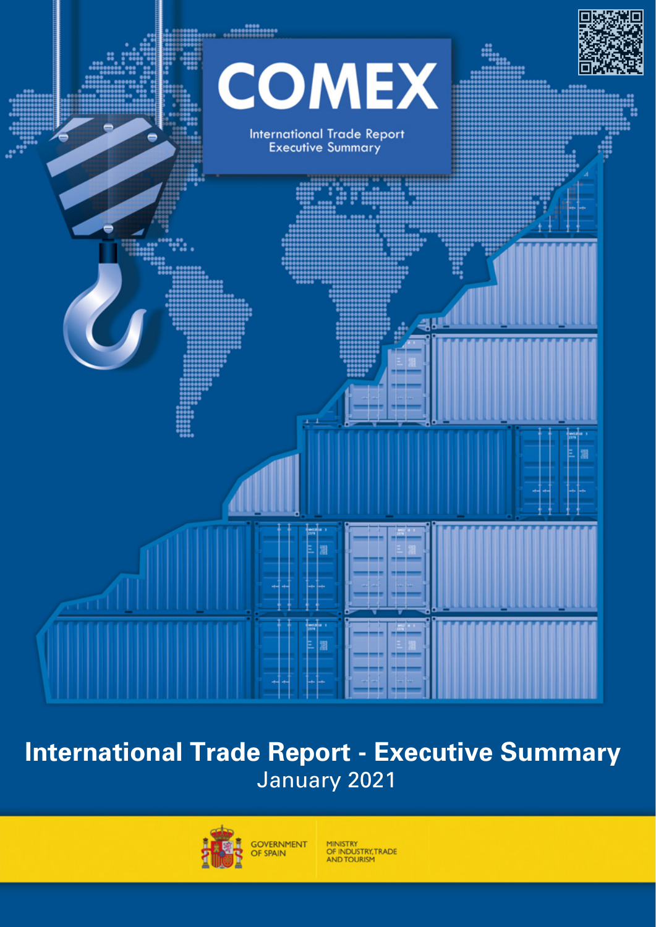

## **International Trade Report - Executive Summary**  January 2021



MINISTRY<br>OF INDUSTRY, TRADE<br>AND TOURISM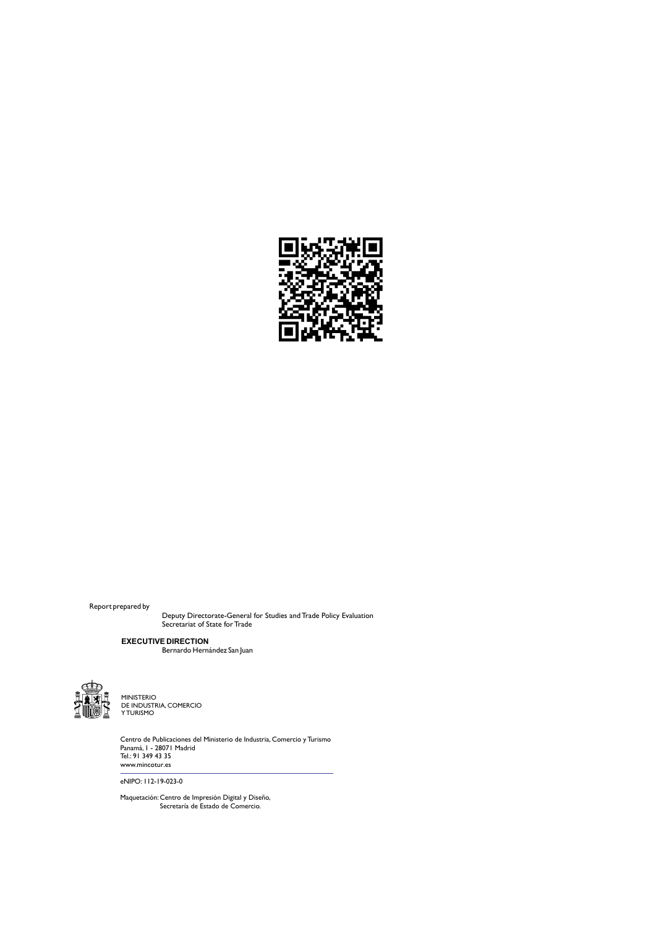

Report prepared by

Deputy Directorate-General for Studies and Trade Policy Evaluation Secretariat of State for Trade

Bernardo Hernández San Juan **EXECUTIVE DIRECTION**



**A DE INDUSTRIA<br>A DE INDUSTRIA, COMERCIO**<br>A DE INDUSTRIA, COMERCIO Y TURISMO MINISTERIO

> Centro de Publicaciones del Ministerio de Industria, Comercio y Turismo Panamá, 1 - 28071 Madrid<br>Tel.: 91 349 43 35<br>www.mincotur.es

eNIPO: 112-19-023-0

Maquetación: Centro de Impresión Digital y Diseño, Secretaría de Estado de Comercio.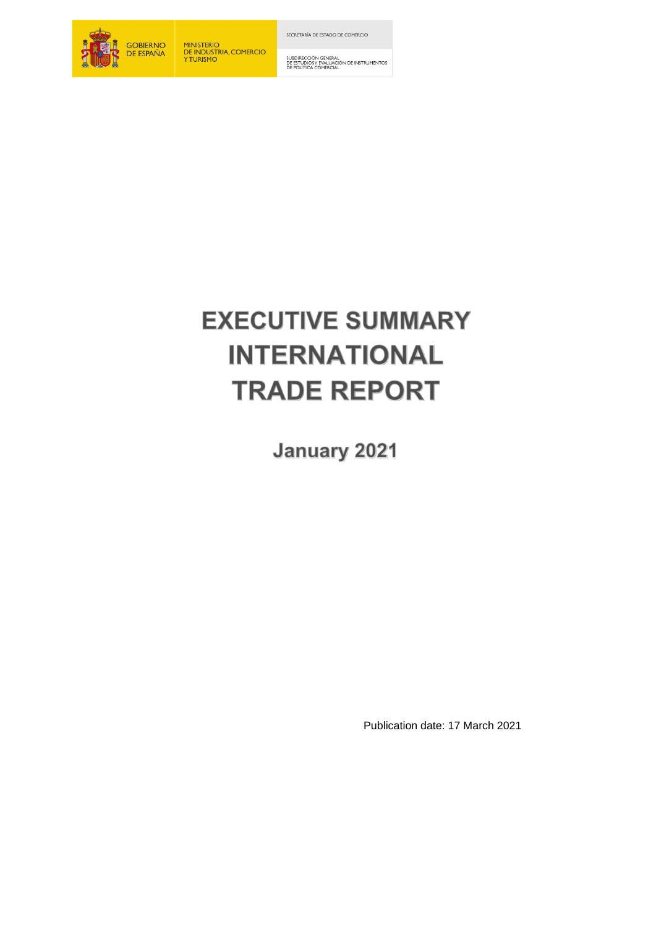

MINISTERIO<br>DE INDUSTRIA, COMERCIO<br>Y TURISMO

SECRETARÍA DE ESTADO DE COMERCIO

SUBDIRECCIÓN GENERAL<br>DE ESTUDIOS Y EVALUACIÓN DE INSTRUMENTOS<br>DE POLÍTICA COMERCIAL

# **EXECUTIVE SUMMARY INTERNATIONAL TRADE REPORT**

**January 2021** 

Publication date: 17 March 2021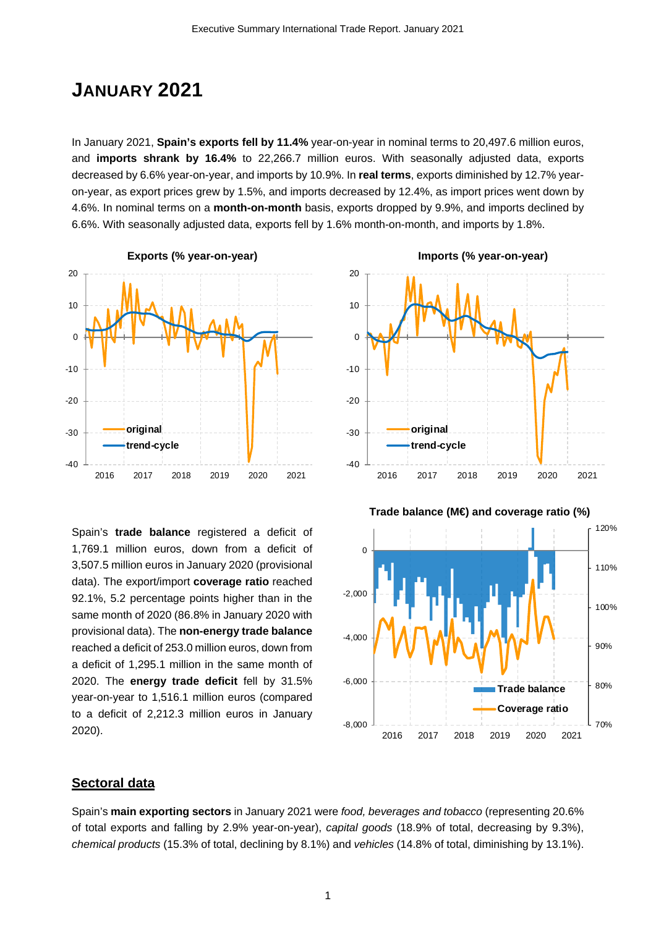### **JANUARY 2021**

In January 2021, **Spain's exports fell by 11.4%** year-on-year in nominal terms to 20,497.6 million euros, and **imports shrank by 16.4%** to 22,266.7 million euros. With seasonally adjusted data, exports decreased by 6.6% year-on-year, and imports by 10.9%. In **real terms**, exports diminished by 12.7% yearon-year, as export prices grew by 1.5%, and imports decreased by 12.4%, as import prices went down by 4.6%. In nominal terms on a **month-on-month** basis, exports dropped by 9.9%, and imports declined by 6.6%. With seasonally adjusted data, exports fell by 1.6% month-on-month, and imports by 1.8%.



Spain's **trade balance** registered a deficit of 1,769.1 million euros, down from a deficit of 3,507.5 million euros in January 2020 (provisional data). The export/import **coverage ratio** reached 92.1%, 5.2 percentage points higher than in the same month of 2020 (86.8% in January 2020 with provisional data). The **non-energy trade balance** reached a deficit of 253.0 million euros, down from a deficit of 1,295.1 million in the same month of 2020. The **energy trade deficit** fell by 31.5% year-on-year to 1,516.1 million euros (compared to a deficit of 2,212.3 million euros in January 2020).



### **Sectoral data**

Spain's **main exporting sectors** in January 2021 were *food, beverages and tobacco* (representing 20.6% of total exports and falling by 2.9% year-on-year), *capital goods* (18.9% of total, decreasing by 9.3%), *chemical products* (15.3% of total, declining by 8.1%) and *vehicles* (14.8% of total, diminishing by 13.1%).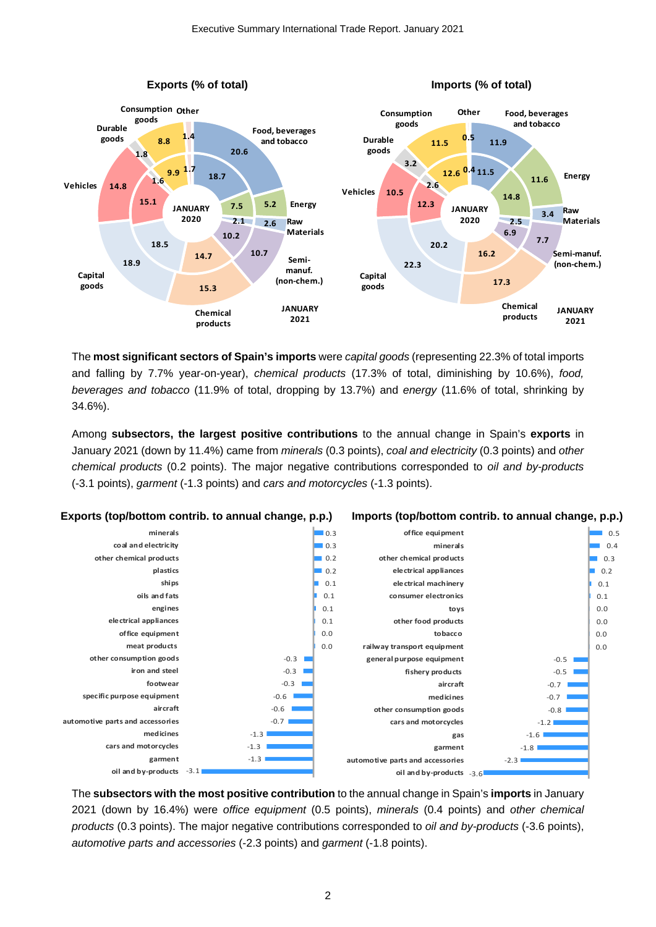

The **most significant sectors of Spain's imports** were *capital goods* (representing 22.3% of total imports and falling by 7.7% year-on-year), *chemical products* (17.3% of total, diminishing by 10.6%), *food, beverages and tobacco* (11.9% of total, dropping by 13.7%) and *energy* (11.6% of total, shrinking by 34.6%).

Among **subsectors, the largest positive contributions** to the annual change in Spain's **exports** in January 2021 (down by 11.4%) came from *minerals* (0.3 points), *coal and electricity* (0.3 points) and *other chemical products* (0.2 points). The major negative contributions corresponded to *oil and by-products*  (-3.1 points), *garment* (-1.3 points) and *cars and motorcycles* (-1.3 points).



The **subsectors with the most positive contribution** to the annual change in Spain's **imports** in January 2021 (down by 16.4%) were *office equipment* (0.5 points), *minerals* (0.4 points) and *other chemical products* (0.3 points). The major negative contributions corresponded to *oil and by-products* (-3.6 points), *automotive parts and accessories* (-2.3 points) and *garment* (-1.8 points).

2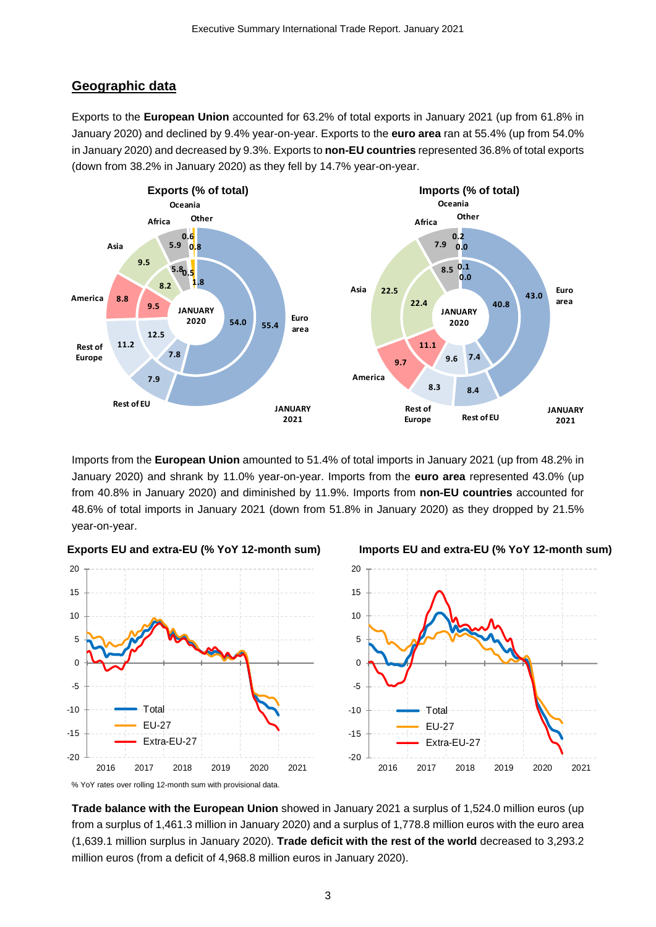### **Geographic data**

Exports to the **European Union** accounted for 63.2% of total exports in January 2021 (up from 61.8% in January 2020) and declined by 9.4% year-on-year. Exports to the **euro area** ran at 55.4% (up from 54.0% in January 2020) and decreased by 9.3%. Exports to **non-EU countries** represented 36.8% of total exports (down from 38.2% in January 2020) as they fell by 14.7% year-on-year.



Imports from the **European Union** amounted to 51.4% of total imports in January 2021 (up from 48.2% in January 2020) and shrank by 11.0% year-on-year. Imports from the **euro area** represented 43.0% (up from 40.8% in January 2020) and diminished by 11.9%. Imports from **non-EU countries** accounted for 48.6% of total imports in January 2021 (down from 51.8% in January 2020) as they dropped by 21.5% year-on-year.







**Imports EU and extra-EU (% YoY 12-month sum)**

% YoY rates over rolling 12-month sum with provisional data.

**Trade balance with the European Union** showed in January 2021 a surplus of 1,524.0 million euros (up from a surplus of 1,461.3 million in January 2020) and a surplus of 1,778.8 million euros with the euro area (1,639.1 million surplus in January 2020). **Trade deficit with the rest of the world** decreased to 3,293.2 million euros (from a deficit of 4,968.8 million euros in January 2020).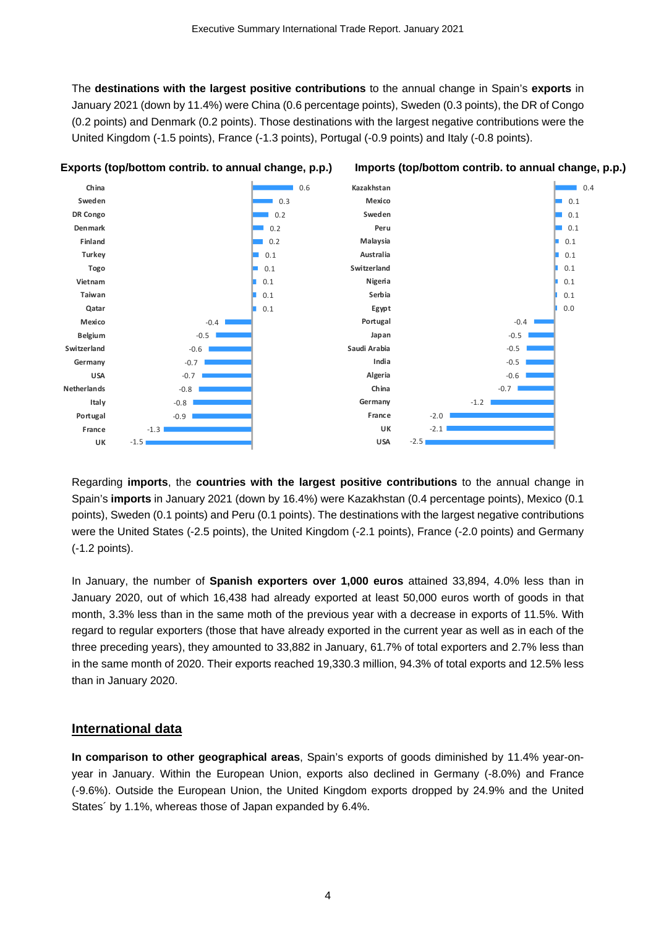The **destinations with the largest positive contributions** to the annual change in Spain's **exports** in January 2021 (down by 11.4%) were China (0.6 percentage points), Sweden (0.3 points), the DR of Congo (0.2 points) and Denmark (0.2 points). Those destinations with the largest negative contributions were the United Kingdom (-1.5 points), France (-1.3 points), Portugal (-0.9 points) and Italy (-0.8 points).



Regarding **imports**, the **countries with the largest positive contributions** to the annual change in Spain's **imports** in January 2021 (down by 16.4%) were Kazakhstan (0.4 percentage points), Mexico (0.1 points), Sweden (0.1 points) and Peru (0.1 points). The destinations with the largest negative contributions were the United States (-2.5 points), the United Kingdom (-2.1 points), France (-2.0 points) and Germany (-1.2 points).

In January, the number of **Spanish exporters over 1,000 euros** attained 33,894, 4.0% less than in January 2020, out of which 16,438 had already exported at least 50,000 euros worth of goods in that month, 3.3% less than in the same moth of the previous year with a decrease in exports of 11.5%. With regard to regular exporters (those that have already exported in the current year as well as in each of the three preceding years), they amounted to 33,882 in January, 61.7% of total exporters and 2.7% less than in the same month of 2020. Their exports reached 19,330.3 million, 94.3% of total exports and 12.5% less than in January 2020.

#### **International data**

**In comparison to other geographical areas**, Spain's exports of goods diminished by 11.4% year-onyear in January. Within the European Union, exports also declined in Germany (-8.0%) and France (-9.6%). Outside the European Union, the United Kingdom exports dropped by 24.9% and the United States´ by 1.1%, whereas those of Japan expanded by 6.4%.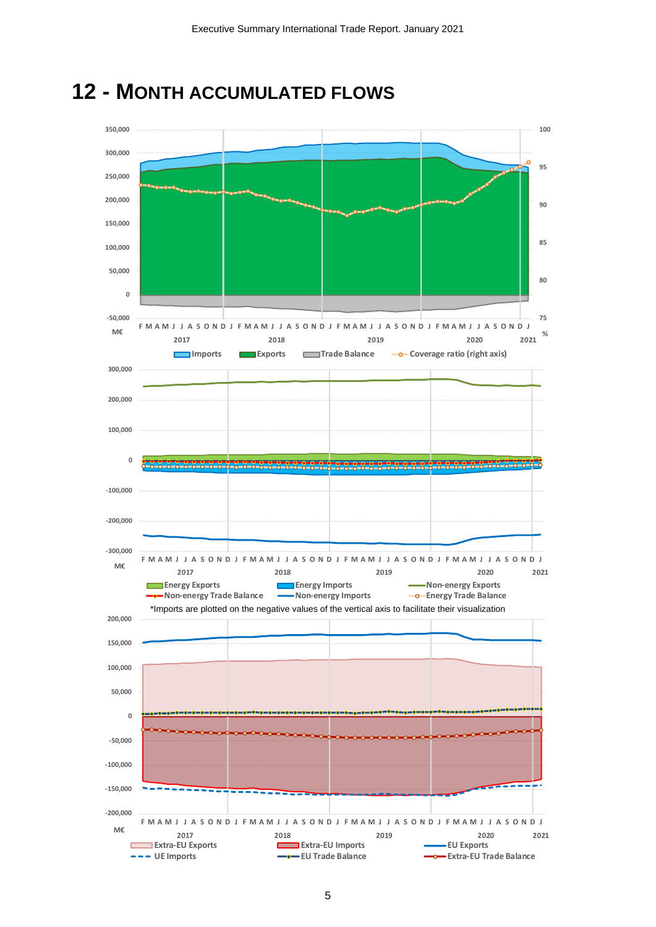

**12 - MONTH ACCUMULATED FLOWS**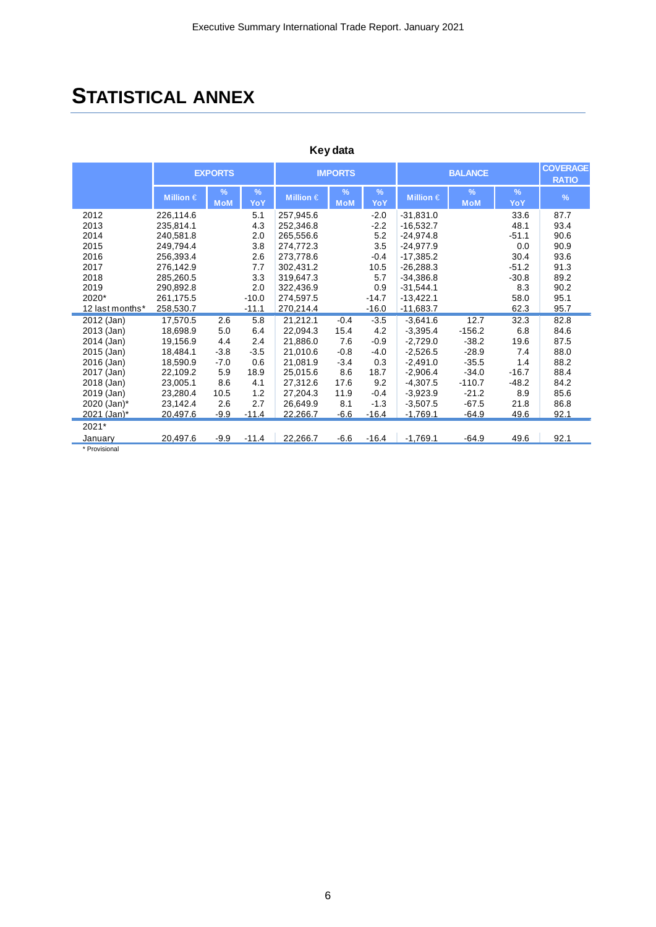### **STATISTICAL ANNEX**

| Key data        |                |                    |             |                |                    |                      |                |                             |          |                                 |
|-----------------|----------------|--------------------|-------------|----------------|--------------------|----------------------|----------------|-----------------------------|----------|---------------------------------|
|                 | <b>EXPORTS</b> |                    |             | <b>IMPORTS</b> |                    |                      | <b>BALANCE</b> |                             |          | <b>COVERAGE</b><br><b>RATIO</b> |
|                 | Million $\in$  | $\%$<br><b>MoM</b> | $\%$<br>YoY | Million $\in$  | $\%$<br><b>MoM</b> | $\frac{9}{6}$<br>YoY | Million $\in$  | $\frac{9}{6}$<br><b>MoM</b> | %<br>YoY | $\frac{9}{6}$                   |
| 2012            | 226,114.6      |                    | 5.1         | 257.945.6      |                    | $-2.0$               | $-31,831.0$    |                             | 33.6     | 87.7                            |
| 2013            | 235,814.1      |                    | 4.3         | 252.346.8      |                    | $-2.2$               | $-16.532.7$    |                             | 48.1     | 93.4                            |
| 2014            | 240,581.8      |                    | 2.0         | 265,556.6      |                    | 5.2                  | $-24,974.8$    |                             | $-51.1$  | 90.6                            |
| 2015            | 249,794.4      |                    | 3.8         | 274,772.3      |                    | 3.5                  | $-24.977.9$    |                             | 0.0      | 90.9                            |
| 2016            | 256,393.4      |                    | 2.6         | 273,778.6      |                    | $-0.4$               | $-17,385.2$    |                             | 30.4     | 93.6                            |
| 2017            | 276,142.9      |                    | 7.7         | 302.431.2      |                    | 10.5                 | $-26.288.3$    |                             | $-51.2$  | 91.3                            |
| 2018            | 285.260.5      |                    | 3.3         | 319.647.3      |                    | 5.7                  | $-34,386.8$    |                             | $-30.8$  | 89.2                            |
| 2019            | 290.892.8      |                    | 2.0         | 322.436.9      |                    | 0.9                  | $-31.544.1$    |                             | 8.3      | 90.2                            |
| 2020*           | 261,175.5      |                    | $-10.0$     | 274,597.5      |                    | $-14.7$              | $-13,422.1$    |                             | 58.0     | 95.1                            |
| 12 last months* | 258,530.7      |                    | $-11.1$     | 270,214.4      |                    | $-16.0$              | $-11,683.7$    |                             | 62.3     | 95.7                            |
| 2012 (Jan)      | 17,570.5       | 2.6                | 5.8         | 21,212.1       | $-0.4$             | $-3.5$               | $-3,641.6$     | 12.7                        | 32.3     | 82.8                            |
| 2013 (Jan)      | 18.698.9       | 5.0                | 6.4         | 22.094.3       | 15.4               | 4.2                  | $-3.395.4$     | $-156.2$                    | 6.8      | 84.6                            |
| 2014 (Jan)      | 19.156.9       | 4.4                | 2.4         | 21.886.0       | 7.6                | $-0.9$               | $-2.729.0$     | $-38.2$                     | 19.6     | 87.5                            |
| 2015 (Jan)      | 18,484.1       | $-3.8$             | $-3.5$      | 21,010.6       | $-0.8$             | $-4.0$               | $-2,526.5$     | $-28.9$                     | 7.4      | 88.0                            |
| 2016 (Jan)      | 18,590.9       | $-7.0$             | 0.6         | 21,081.9       | $-3.4$             | 0.3                  | $-2,491.0$     | $-35.5$                     | 1.4      | 88.2                            |
| 2017 (Jan)      | 22,109.2       | 5.9                | 18.9        | 25,015.6       | 8.6                | 18.7                 | $-2.906.4$     | $-34.0$                     | $-16.7$  | 88.4                            |
| 2018 (Jan)      | 23,005.1       | 8.6                | 4.1         | 27,312.6       | 17.6               | 9.2                  | $-4.307.5$     | $-110.7$                    | $-48.2$  | 84.2                            |
| 2019 (Jan)      | 23,280.4       | 10.5               | 1.2         | 27,204.3       | 11.9               | $-0.4$               | $-3,923.9$     | $-21.2$                     | 8.9      | 85.6                            |
| 2020 (Jan)*     | 23,142.4       | 2.6                | 2.7         | 26.649.9       | 8.1                | $-1.3$               | $-3,507.5$     | $-67.5$                     | 21.8     | 86.8                            |
| 2021 (Jan)*     | 20,497.6       | $-9.9$             | $-11.4$     | 22,266.7       | $-6.6$             | $-16.4$              | $-1,769.1$     | $-64.9$                     | 49.6     | 92.1                            |
| 2021*           |                |                    |             |                |                    |                      |                |                             |          |                                 |
| January         | 20,497.6       | $-9.9$             | $-11.4$     | 22,266.7       | $-6.6$             | $-16.4$              | $-1,769.1$     | $-64.9$                     | 49.6     | 92.1                            |
| * Provisional   |                |                    |             |                |                    |                      |                |                             |          |                                 |

6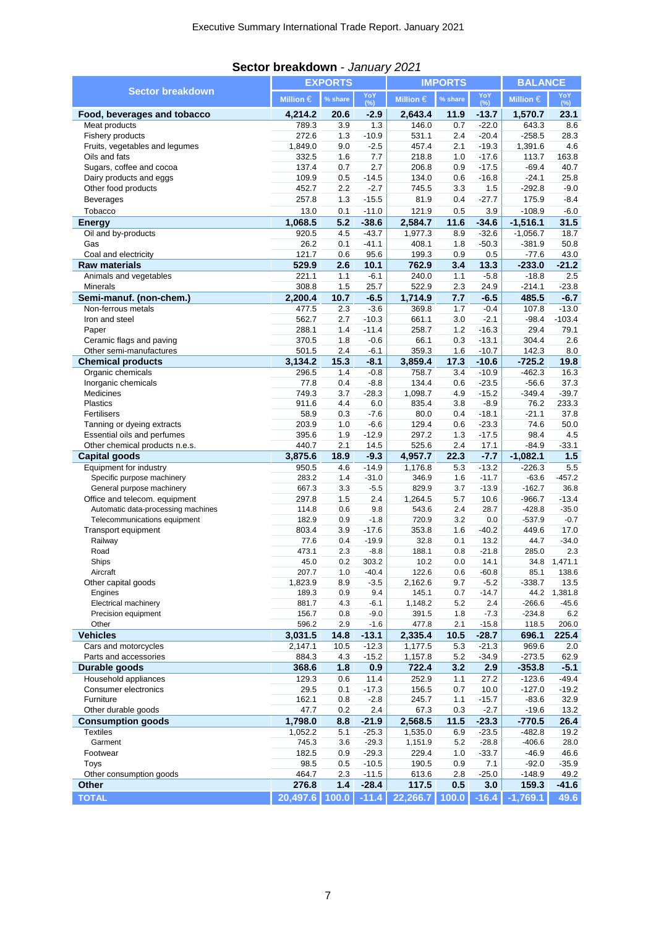|                                                                    | <b>EXPORTS</b>   |              |                    | <b>IMPORTS</b>     |            |                    | <b>BALANCE</b>       |                    |
|--------------------------------------------------------------------|------------------|--------------|--------------------|--------------------|------------|--------------------|----------------------|--------------------|
| <b>Sector breakdown</b>                                            | Million $\in$    | % share      | YoY<br>(%)         | Million $\in$      | % share    | YoY<br>$(\%)$      | Million $\in$        | YoY<br>$(\%)$      |
| Food, beverages and tobacco                                        | 4.214.2          | 20.6         | $-2.9$             | 2,643.4            | 11.9       | $-13.7$            | 1,570.7              | 23.1               |
| Meat products                                                      | 789.3            | 3.9          | 1.3                | 146.0              | 0.7        | $-22.0$            | 643.3                | 8.6                |
| Fishery products                                                   | 272.6            | 1.3          | $-10.9$            | 531.1              | 2.4        | $-20.4$            | $-258.5$             | 28.3               |
| Fruits, vegetables and legumes                                     | 1,849.0          | 9.0          | $-2.5$             | 457.4              | 2.1        | $-19.3$            | 1,391.6              | 4.6                |
| Oils and fats<br>Sugars, coffee and cocoa                          | 332.5<br>137.4   | 1.6<br>0.7   | 7.7<br>2.7         | 218.8<br>206.8     | 1.0<br>0.9 | $-17.6$<br>$-17.5$ | 113.7<br>$-69.4$     | 163.8<br>40.7      |
| Dairy products and eggs                                            | 109.9            | 0.5          | $-14.5$            | 134.0              | 0.6        | $-16.8$            | $-24.1$              | 25.8               |
| Other food products                                                | 452.7            | 2.2          | $-2.7$             | 745.5              | 3.3        | 1.5                | $-292.8$             | $-9.0$             |
| <b>Beverages</b>                                                   | 257.8            | 1.3          | $-15.5$            | 81.9               | 0.4        | $-27.7$            | 175.9                | $-8.4$             |
| Tobacco                                                            | 13.0             | 0.1          | $-11.0$            | 121.9              | 0.5        | 3.9                | $-108.9$             | $-6.0$             |
| <b>Energy</b>                                                      | 1,068.5          | 5.2          | $-38.6$            | 2,584.7            | 11.6       | $-34.6$            | $-1,516.1$           | 31.5               |
| Oil and by-products                                                | 920.5            | 4.5          | $-43.7$            | 1,977.3            | 8.9        | $-32.6$            | $-1,056.7$           | 18.7               |
| Gas                                                                | 26.2             | 0.1          | $-41.1$            | 408.1              | 1.8        | $-50.3$            | $-381.9$             | 50.8               |
| Coal and electricity                                               | 121.7            | 0.6          | 95.6               | 199.3              | 0.9        | 0.5                | $-77.6$              | 43.0               |
| <b>Raw materials</b>                                               | 529.9            | 2.6          | 10.1               | 762.9              | 3.4        | 13.3               | $-233.0$             | $-21.2$            |
| Animals and vegetables                                             | 221.1            | 1.1          | $-6.1$             | 240.0              | 1.1        | $-5.8$             | $-18.8$              | 2.5                |
| <b>Minerals</b>                                                    | 308.8            | 1.5          | 25.7               | 522.9              | 2.3        | 24.9               | $-214.1$             | $-23.8$            |
| Semi-manuf. (non-chem.)                                            | 2,200.4          | 10.7         | $-6.5$             | 1,714.9            | 7.7        | $-6.5$             | 485.5                | $-6.7$             |
| Non-ferrous metals                                                 | 477.5            | 2.3          | $-3.6$             | 369.8              | 1.7        | $-0.4$             | 107.8                | $-13.0$            |
| Iron and steel                                                     | 562.7            | 2.7          | $-10.3$            | 661.1              | 3.0        | $-2.1$             | $-98.4$              | $-103.4$           |
| Paper<br>Ceramic flags and paving                                  | 288.1<br>370.5   | 1.4<br>1.8   | $-11.4$<br>$-0.6$  | 258.7<br>66.1      | 1.2<br>0.3 | $-16.3$<br>$-13.1$ | 29.4<br>304.4        | 79.1<br>2.6        |
| Other semi-manufactures                                            | 501.5            | 2.4          | $-6.1$             | 359.3              | 1.6        | $-10.7$            | 142.3                | 8.0                |
| <b>Chemical products</b>                                           | 3,134.2          | 15.3         | $-8.1$             | 3,859.4            | 17.3       | $-10.6$            | $-725.2$             | 19.8               |
| Organic chemicals                                                  | 296.5            | 1.4          | $-0.8$             | 758.7              | 3.4        | $-10.9$            | $-462.3$             | 16.3               |
| Inorganic chemicals                                                | 77.8             | 0.4          | $-8.8$             | 134.4              | 0.6        | $-23.5$            | $-56.6$              | 37.3               |
| Medicines                                                          | 749.3            | 3.7          | $-28.3$            | 1,098.7            | 4.9        | $-15.2$            | $-349.4$             | $-39.7$            |
| Plastics                                                           | 911.6            | 4.4          | 6.0                | 835.4              | 3.8        | $-8.9$             | 76.2                 | 233.3              |
| Fertilisers                                                        | 58.9             | 0.3          | $-7.6$             | 80.0               | 0.4        | $-18.1$            | $-21.1$              | 37.8               |
| Tanning or dyeing extracts                                         | 203.9            | 1.0          | $-6.6$             | 129.4              | 0.6        | $-23.3$            | 74.6                 | 50.0               |
| Essential oils and perfumes                                        | 395.6            | 1.9          | $-12.9$            | 297.2              | 1.3        | $-17.5$            | 98.4                 | 4.5                |
|                                                                    |                  |              |                    |                    |            |                    |                      |                    |
| Other chemical products n.e.s.                                     | 440.7            | 2.1          | 14.5               | 525.6              | 2.4        | 17.1               | $-84.9$              | $-33.1$            |
| <b>Capital goods</b>                                               | 3,875.6          | 18.9         | $-9.3$             | 4,957.7            | 22.3       | $-7.7$             | $-1,082.1$           | 1.5                |
| Equipment for industry                                             | 950.5            | 4.6          | $-14.9$            | 1,176.8            | 5.3        | $-13.2$            | $-226.3$             | 5.5                |
| Specific purpose machinery                                         | 283.2            | 1.4          | $-31.0$            | 346.9              | 1.6        | $-11.7$            | $-63.6$              | $-457.2$           |
| General purpose machinery                                          | 667.3            | 3.3          | $-5.5$             | 829.9              | 3.7        | $-13.9$            | $-162.7$             | 36.8               |
| Office and telecom. equipment                                      | 297.8<br>114.8   | 1.5<br>0.6   | 2.4<br>9.8         | 1,264.5<br>543.6   | 5.7<br>2.4 | 10.6<br>28.7       | $-966.7$<br>$-428.8$ | $-13.4$<br>$-35.0$ |
| Automatic data-processing machines<br>Telecommunications equipment | 182.9            | 0.9          | $-1.8$             | 720.9              | 3.2        | 0.0                | $-537.9$             | $-0.7$             |
| Transport equipment                                                | 803.4            | 3.9          | $-17.6$            | 353.8              | 1.6        | $-40.2$            | 449.6                | 17.0               |
| Railway                                                            | 77.6             | 0.4          | $-19.9$            | 32.8               | 0.1        | 13.2               | 44.7                 | $-34.0$            |
| Road                                                               | 473.1            | 2.3          | $-8.8$             | 188.1              | 0.8        | $-21.8$            | 285.0                | 2.3                |
| Ships                                                              | 45.0             | 0.2          | 303.2              | 10.2               | 0.0        | 14.1               |                      | 34.8 1,471.1       |
| Aircraft                                                           | 207.7            | 1.0          | $-40.4$            | 122.6              | 0.6        | $-60.8$            | 85.1                 | 138.6              |
| Other capital goods                                                | 1,823.9          | 8.9          | $-3.5$             | 2,162.6            | 9.7        | $-5.2$             | $-338.7$             | 13.5               |
| Engines                                                            | 189.3            | 0.9          | 9.4                | 145.1              | 0.7        | $-14.7$            | 44.2                 | 1,381.8            |
| Electrical machinery                                               | 881.7            | 4.3          | $-6.1$             | 1,148.2            | 5.2        | 2.4                | $-266.6$             | $-45.6$            |
| Precision equipment                                                | 156.7            | 0.8          | $-9.0$             | 391.5              | 1.8        | $-7.3$             | $-234.8$             | 6.2                |
| Other                                                              | 596.2            | 2.9          | $-1.6$             | 477.8              | 2.1        | $-15.8$            | 118.5                | 206.0              |
| <b>Vehicles</b><br>Cars and motorcycles                            | 3,031.5          | 14.8<br>10.5 | $-13.1$            | 2,335.4            | 10.5       | $-28.7$            | 696.1                | 225.4              |
| Parts and accessories                                              | 2,147.1<br>884.3 | 4.3          | $-12.3$<br>$-15.2$ | 1,177.5<br>1,157.8 | 5.3<br>5.2 | $-21.3$            | 969.6<br>$-273.5$    | 2.0                |
| Durable goods                                                      | 368.6            | 1.8          | 0.9                | 722.4              | 3.2        | $-34.9$<br>2.9     | $-353.8$             | 62.9               |
| Household appliances                                               | 129.3            | 0.6          | 11.4               | 252.9              | 1.1        | 27.2               | $-123.6$             | $-5.1$<br>$-49.4$  |
| Consumer electronics                                               | 29.5             | 0.1          | $-17.3$            | 156.5              | 0.7        | 10.0               | $-127.0$             | $-19.2$            |
| Furniture                                                          | 162.1            | 0.8          | $-2.8$             | 245.7              | 1.1        | $-15.7$            | $-83.6$              | 32.9               |
| Other durable goods                                                | 47.7             | 0.2          | 2.4                | 67.3               | 0.3        | $-2.7$             | $-19.6$              | 13.2               |
| <b>Consumption goods</b>                                           | 1,798.0          | 8.8          | $-21.9$            | 2,568.5            | 11.5       | $-23.3$            | $-770.5$             | 26.4               |
| <b>Textiles</b>                                                    | 1,052.2          | 5.1          | $-25.3$            | 1,535.0            | 6.9        | $-23.5$            | $-482.8$             | 19.2               |
| Garment                                                            | 745.3            | 3.6          | $-29.3$            | 1,151.9            | 5.2        | $-28.8$            | $-406.6$             | 28.0               |
| Footwear                                                           | 182.5            | 0.9          | $-29.3$            | 229.4              | 1.0        | $-33.7$            | $-46.9$              | 46.6               |
| Toys                                                               | 98.5             | 0.5          | $-10.5$            | 190.5              | 0.9        | 7.1                | $-92.0$              | $-35.9$            |
| Other consumption goods<br><b>Other</b>                            | 464.7<br>276.8   | 2.3<br>$1.4$ | $-11.5$<br>$-28.4$ | 613.6<br>117.5     | 2.8<br>0.5 | $-25.0$<br>3.0     | $-148.9$<br>159.3    | 49.2<br>$-41.6$    |

### **Sector breakdown** - *January 2021*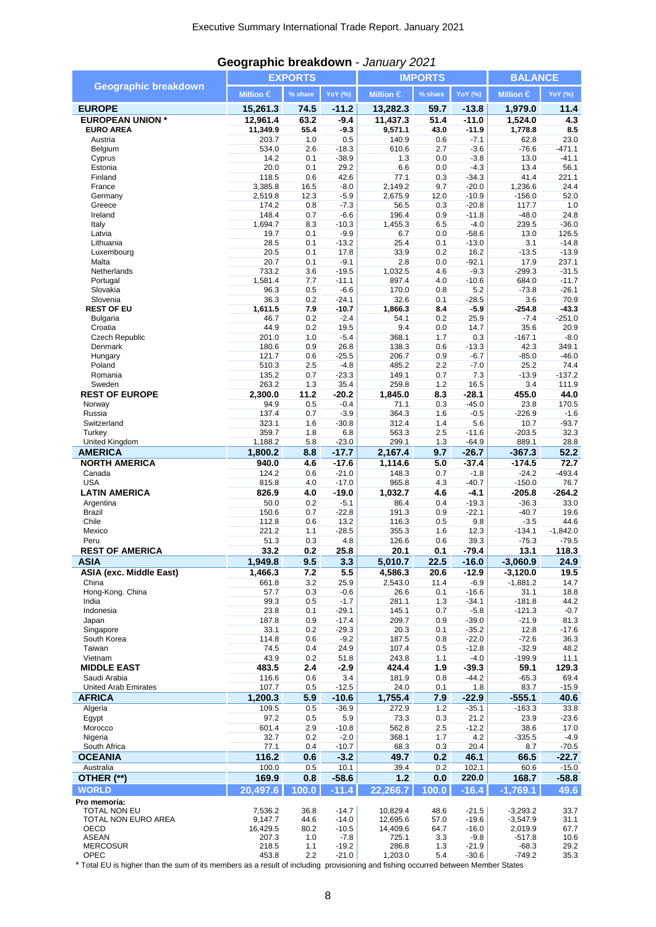|                                        |                  | <b>EXPORTS</b> |                    |                  | <b>IMPORTS</b> | <b>BALANCE</b>     |                      |                       |
|----------------------------------------|------------------|----------------|--------------------|------------------|----------------|--------------------|----------------------|-----------------------|
| <b>Geographic breakdown</b>            | Million $\in$    | % share        | YoY (%)            | Million $\in$    | % share        | <b>YoY</b> (%)     | Million $\in$        | <b>YoY</b> (%)        |
| <b>EUROPE</b>                          | 15,261.3         | 74.5           | $-11.2$            | 13,282.3         | 59.7           | $-13.8$            | 1,979.0              | 11.4                  |
| <b>EUROPEAN UNION *</b>                | 12,961.4         | 63.2           | $-9.4$             | 11,437.3         | 51.4           | $-11.0$            | 1,524.0              | 4.3                   |
| <b>EURO AREA</b>                       | 11,349.9         | 55.4           | $-9.3$             | 9,571.1          | 43.0           | $-11.9$            | 1,778.8              | 8.5                   |
| Austria                                | 203.7            | 1.0            | 0.5                | 140.9            | 0.6            | $-7.1$             | 62.8                 | 23.0                  |
| Belgium                                | 534.0            | 2.6            | $-18.3$            | 610.6            | 2.7            | $-3.6$             | $-76.6$              | $-471.1$              |
| Cyprus<br>Estonia                      | 14.2<br>20.0     | 0.1<br>0.1     | $-38.9$<br>29.2    | 1.3<br>6.6       | 0.0<br>0.0     | $-3.8$<br>$-4.3$   | 13.0<br>13.4         | $-41.1$<br>56.1       |
| Finland                                | 118.5            | 0.6            | 42.6               | 77.1             | 0.3            | $-34.3$            | 41.4                 | 221.1                 |
| France                                 | 3,385.8          | 16.5           | $-8.0$             | 2,149.2          | 9.7            | $-20.0$            | 1,236.6              | 24.4                  |
| Germany                                | 2,519.8          | 12.3           | $-5.9$             | 2,675.9          | 12.0           | $-10.9$            | $-156.0$             | 52.0                  |
| Greece<br>Ireland                      | 174.2<br>148.4   | 0.8<br>0.7     | $-7.3$<br>$-6.6$   | 56.5<br>196.4    | 0.3<br>0.9     | $-20.8$<br>$-11.8$ | 117.7<br>$-48.0$     | 1.0<br>24.8           |
| Italy                                  | 1,694.7          | 8.3            | $-10.3$            | 1,455.3          | 6.5            | $-4.0$             | 239.5                | $-36.0$               |
| Latvia                                 | 19.7             | 0.1            | $-9.9$             | 6.7              | 0.0            | $-58.6$            | 13.0                 | 126.5                 |
| Lithuania                              | 28.5             | 0.1            | $-13.2$            | 25.4             | 0.1            | $-13.0$            | 3.1                  | $-14.8$               |
| Luxembourg                             | 20.5             | 0.1            | 17.8               | 33.9             | 0.2            | 16.2               | $-13.5$              | $-13.9$               |
| Malta<br>Netherlands                   | 20.7<br>733.2    | 0.1<br>3.6     | $-9.1$<br>$-19.5$  | 2.8<br>1,032.5   | 0.0<br>4.6     | $-92.1$<br>$-9.3$  | 17.9<br>$-299.3$     | 237.1<br>$-31.5$      |
| Portugal                               | 1,581.4          | 7.7            | $-11.1$            | 897.4            | 4.0            | $-10.6$            | 684.0                | $-11.7$               |
| Slovakia                               | 96.3             | 0.5            | $-6.6$             | 170.0            | 0.8            | 5.2                | $-73.8$              | $-26.1$               |
| Slovenia                               | 36.3             | 0.2            | $-24.1$            | 32.6             | 0.1            | $-28.5$            | 3.6                  | 70.9                  |
| <b>REST OF EU</b>                      | 1,611.5          | 7.9            | $-10.7$            | 1,866.3          | 8.4            | $-5.9$             | $-254.8$             | $-43.3$               |
| <b>Bulgaria</b><br>Croatia             | 46.7<br>44.9     | 0.2<br>0.2     | $-2.4$<br>19.5     | 54.1<br>9.4      | 0.2<br>0.0     | 25.9<br>14.7       | $-7.4$<br>35.6       | $-251.0$<br>20.9      |
| Czech Republic                         | 201.0            | 1.0            | $-5.4$             | 368.1            | 1.7            | 0.3                | $-167.1$             | $-8.0$                |
| Denmark                                | 180.6            | 0.9            | 26.8               | 138.3            | 0.6            | $-13.3$            | 42.3                 | 349.1                 |
| Hungary                                | 121.7            | 0.6            | $-25.5$            | 206.7            | 0.9            | $-6.7$             | $-85.0$              | $-46.0$               |
| Poland                                 | 510.3            | 2.5            | $-4.8$             | 485.2            | 2.2            | $-7.0$             | 25.2                 | 74.4                  |
| Romania                                | 135.2            | 0.7<br>1.3     | $-23.3$<br>35.4    | 149.1            | 0.7            | 7.3                | $-13.9$<br>3.4       | $-137.2$              |
| Sweden<br><b>REST OF EUROPE</b>        | 263.2<br>2,300.0 | 11.2           | $-20.2$            | 259.8<br>1,845.0 | 1.2<br>8.3     | 16.5<br>$-28.1$    | 455.0                | 111.9<br>44.0         |
| Norway                                 | 94.9             | 0.5            | $-0.4$             | 71.1             | 0.3            | $-45.0$            | 23.8                 | 170.5                 |
| Russia                                 | 137.4            | 0.7            | $-3.9$             | 364.3            | 1.6            | $-0.5$             | $-226.9$             | $-1.6$                |
| Switzerland                            | 323.1            | 1.6            | $-30.8$            | 312.4            | 1.4            | 5.6                | 10.7                 | $-93.7$               |
| Turkey                                 | 359.7            | 1.8            | 6.8                | 563.3            | 2.5            | $-11.6$            | $-203.5$             | 32.3                  |
| United Kingdom                         | 1,188.2          | 5.8            | $-23.0$            | 299.1            | 1.3            | $-64.9$            | 889.1                | 28.8                  |
| <b>AMERICA</b><br><b>NORTH AMERICA</b> | 1,800.2<br>940.0 | 8.8<br>4.6     | $-17.7$<br>$-17.6$ | 2,167.4          | 9.7            | $-26.7$            | $-367.3$<br>$-174.5$ | 52.2<br>72.7          |
| Canada                                 | 124.2            | 0.6            | $-21.0$            | 1,114.6<br>148.3 | 5.0<br>0.7     | $-37.4$<br>$-1.8$  | $-24.2$              | $-493.4$              |
| <b>USA</b>                             | 815.8            | 4.0            | $-17.0$            | 965.8            | 4.3            | $-40.7$            | $-150.0$             | 76.7                  |
| <b>LATIN AMERICA</b>                   | 826.9            | 4.0            | $-19.0$            | 1,032.7          | 4.6            | $-4.1$             | $-205.8$             | $-264.2$              |
| Argentina                              | 50.0             | 0.2            | $-5.1$             | 86.4             | 0.4            | $-19.3$            | $-36.3$              | 33.0                  |
| <b>Brazil</b>                          | 150.6            | 0.7            | $-22.8$            | 191.3            | 0.9            | $-22.1$            | $-40.7$              | 19.6                  |
| Chile                                  | 112.8            | 0.6            | 13.2               | 116.3            | 0.5            | 9.8                | $-3.5$               | 44.6                  |
| Mexico<br>Peru                         | 221.2<br>51.3    | 1.1<br>0.3     | $-28.5$<br>4.8     | 355.3<br>126.6   | 1.6<br>0.6     | 12.3<br>39.3       | $-134.1$<br>$-75.3$  | $-1,842.0$<br>$-79.5$ |
| <b>REST OF AMERICA</b>                 | 33.2             | 0.2            | 25.8               | 20.1             | 0.1            | $-79.4$            | 13.1                 | 118.3                 |
| <b>ASIA</b>                            | 1,949.8          | 9.5            | 3.3                | 5,010.7          | 22.5           | $-16.0$            | $-3,060.9$           | 24.9                  |
| ASIA (exc. Middle East)                | 1,466.3          | 7.2            | 5.5                | 4,586.3          | 20.6           | $-12.9$            | $-3,120.0$           | 19.5                  |
| China                                  | 661.8            | 3.2            | 25.9               | 2,543.0          | 11.4           | $-6.9$             | $-1,881.2$           | 14.7                  |
| Hong-Kong. China                       | 57.7             | 0.3            | $-0.6$             | 26.6             | 0.1            | $-16.6$            | 31.1                 | 18.8                  |
| India                                  | 99.3             | 0.5            | $-1.7$             | 281.1            | 1.3            | -34.1              | $-181.8$             | 44.2                  |
| Indonesia                              | 23.8             | 0.1            | $-29.1$            | 145.1            | 0.7            | $-5.8$             | $-121.3$             | $-0.7$                |
| Japan<br>Singapore                     | 187.8<br>33.1    | 0.9<br>0.2     | $-17.4$<br>$-29.3$ | 209.7<br>20.3    | 0.9<br>0.1     | $-39.0$<br>$-35.2$ | $-21.9$<br>12.8      | 81.3<br>$-17.6$       |
| South Korea                            | 114.8            | 0.6            | $-9.2$             | 187.5            | 0.8            | $-22.0$            | $-72.6$              | 36.3                  |
| Taiwan                                 | 74.5             | 0.4            | 24.9               | 107.4            | 0.5            | $-12.8$            | $-32.9$              | 48.2                  |
| Vietnam                                | 43.9             | 0.2            | 51.8               | 243.8            | 1.1            | $-4.0$             | $-199.9$             | 11.1                  |
| <b>MIDDLE EAST</b>                     | 483.5            | 2.4            | $-2.9$             | 424.4            | 1.9            | $-39.3$            | 59.1                 | 129.3                 |
| Saudi Arabia<br>United Arab Emirates   | 116.6<br>107.7   | 0.6<br>0.5     | 3.4<br>$-12.5$     | 181.9<br>24.0    | 0.8<br>0.1     | $-44.2$<br>1.8     | $-65.3$<br>83.7      | 69.4<br>$-15.9$       |
| <b>AFRICA</b>                          | 1,200.3          | 5.9            | -10.6              | 1,755.4          | 7.9            | $-22.9$            | $-555.1$             | 40.6                  |
| Algeria                                | 109.5            | 0.5            | $-36.9$            | 272.9            | 1.2            | $-35.1$            | $-163.3$             | 33.8                  |
| Egypt                                  | 97.2             | 0.5            | 5.9                | 73.3             | 0.3            | 21.2               | 23.9                 | $-23.6$               |
| Morocco                                | 601.4            | 2.9            | $-10.8$            | 562.8            | 2.5            | $-12.2$            | 38.6                 | 17.0                  |
| Nigeria                                | 32.7             | 0.2            | $-2.0$             | 368.1            | 1.7            | 4.2                | $-335.5$             | $-4.9$                |
| South Africa                           | 77.1             | 0.4            | $-10.7$            | 68.3             | 0.3            | 20.4               | 8.7                  | $-70.5$               |
| <b>OCEANIA</b>                         | 116.2            | 0.6            | $-3.2$             | 49.7             | 0.2            | 46.1               | 66.5                 | $-22.7$               |
| Australia                              | 100.0            | 0.5            | 10.1               | 39.4             | 0.2            | 102.1              | 60.6                 | $-15.0$               |
| OTHER (**)                             | 169.9            | 0.8            | $-58.6$            | 1.2              | 0.0            | 220.0              | 168.7                | $-58.8$               |
| <b>WORLD</b>                           | 20,497.6         | 100.0          | $-11.4$            | 22,266.7         | 100.0          | $-16.4$            | $-1,769.1$           | 49.6                  |
| Pro memoria:<br>TOTAL NON EU           | 7,536.2          | 36.8           | $-14.7$            | 10,829.4         | 48.6           | $-21.5$            | $-3,293.2$           | 33.7                  |
| TOTAL NON EURO AREA                    | 9,147.7          | 44.6           | $-14.0$            | 12,695.6         | 57.0           | $-19.6$            | $-3,547.9$           | 31.1                  |
| OECD                                   | 16,429.5         | 80.2           | $-10.5$            | 14,409.6         | 64.7           | $-16.0$            | 2,019.9              | 67.7                  |
| <b>ASEAN</b>                           | 207.3            | 1.0            | $-7.8$             | 725.1            | 3.3            | $-9.8$             | $-517.8$             | 10.6                  |
| <b>MERCOSUR</b><br>OPEC                | 218.5<br>453.8   | 1.1<br>2.2     | $-19.2$<br>$-21.0$ | 286.8<br>1,203.0 | 1.3<br>5.4     | $-21.9$<br>$-30.6$ | $-68.3$<br>$-749.2$  | 29.2<br>35.3          |

### **Geographic breakdown** - *January 2021*

\* Total EU is higher than the sum of its members as a result of including provisioning and fishing occurred between Member States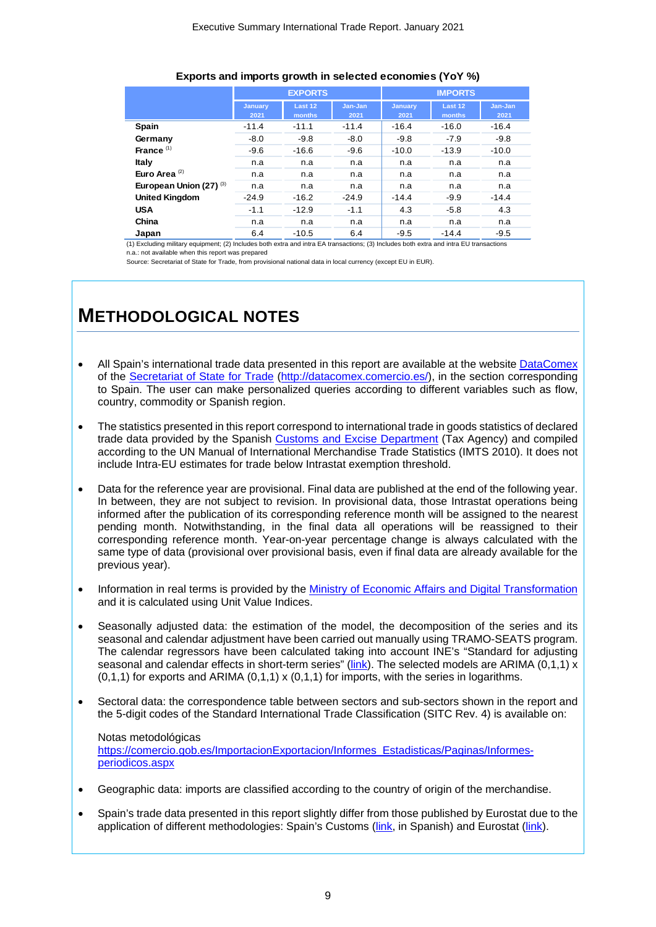#### **Exports and imports growth in selected economies (YoY %)**

|                                    |         | <b>EXPORTS</b> |         | <b>IMPORTS</b> |         |         |  |
|------------------------------------|---------|----------------|---------|----------------|---------|---------|--|
|                                    | January | Last 12        | Jan-Jan | January        | Last 12 | Jan-Jan |  |
|                                    | 2021    | months         | 2021    | 2021           | months  | 2021    |  |
| <b>Spain</b>                       | $-11.4$ | $-11.1$        | $-11.4$ | $-16.4$        | $-16.0$ | $-16.4$ |  |
| Germany                            | $-8.0$  | $-9.8$         | $-8.0$  | $-9.8$         | $-7.9$  | $-9.8$  |  |
| France $(1)$                       | $-9.6$  | $-16.6$        | $-9.6$  | $-10.0$        | $-13.9$ | $-10.0$ |  |
| Italy                              | n.a     | n.a            | n.a     | n.a            | n.a     | n.a     |  |
| Euro Area $(2)$                    | n.a     | n.a            | n.a     | n.a            | n.a     | n.a     |  |
| European Union (27) <sup>(3)</sup> | n.a     | n.a            | n.a     | n.a            | n.a     | n.a     |  |
| <b>United Kingdom</b>              | $-24.9$ | $-16.2$        | $-24.9$ | $-14.4$        | $-9.9$  | $-14.4$ |  |
| <b>USA</b>                         | $-1.1$  | $-12.9$        | $-1.1$  | 4.3            | $-5.8$  | 4.3     |  |
| China                              | n.a     | n.a            | n.a     | n.a            | n.a     | n.a     |  |
| Japan                              | 6.4     | $-10.5$        | 6.4     | $-9.5$         | $-14.4$ | $-9.5$  |  |

n.a.: not available when this report was prepared (1) Excluding military equipment; (2) Includes both extra and intra EA transactions; (3) Includes both extra and intra EU transactions

Source: Secretariat of State for Trade, from provisional national data in local currency (except EU in EUR).

### **METHODOLOGICAL NOTES**

- All Spain's international trade data presented in this report are available at the websit[e DataComex](http://datacomex.comercio.es/) of the [Secretariat of State for Trade](https://comercio.gob.es/en-us/Paginas/Index.aspx) [\(http://datacomex.comercio.es/\)](http://datacomex.comercio.es/), in the section corresponding to Spain. The user can make personalized queries according to different variables such as flow, country, commodity or Spanish region.
- The statistics presented in this report correspond to international trade in goods statistics of declared trade data provided by the Spanish [Customs and Excise Department](https://www.agenciatributaria.es/AEAT.internet/en_gb/Inicio/La_Agencia_Tributaria/Aduanas_e_Impuestos_Especiales/_Presentacion/Estadisticas_de_Comercio_Exterior/Estadisticas_de_Comercio_Exterior.shtml) (Tax Agency) and compiled according to the UN Manual of International Merchandise Trade Statistics (IMTS 2010). It does not include Intra-EU estimates for trade below Intrastat exemption threshold.
- Data for the reference year are provisional. Final data are published at the end of the following year. In between, they are not subject to revision. In provisional data, those Intrastat operations being informed after the publication of its corresponding reference month will be assigned to the nearest pending month. Notwithstanding, in the final data all operations will be reassigned to their corresponding reference month. Year-on-year percentage change is always calculated with the same type of data (provisional over provisional basis, even if final data are already available for the previous year).
- Information in real terms is provided by the [Ministry of Economic Affairs and Digital Transformation](http://serviciosede.mineco.gob.es/indeco/default.aspx) and it is calculated using Unit Value Indices.
- Seasonally adjusted data: the estimation of the model, the decomposition of the series and its seasonal and calendar adjustment have been carried out manually using TRAMO-SEATS program. The calendar regressors have been calculated taking into account INE's "Standard for adjusting seasonal and calendar effects in short-term series" [\(link\)](https://www.ine.es/ss/Satellite?c=Page&p=1254735839296&pagename=MetodologiaYEstandares%2FINELayout&cid=1254735839296&L=1). The selected models are ARIMA (0.1.1) x  $(0,1,1)$  for exports and ARIMA  $(0,1,1)$  x  $(0,1,1)$  for imports, with the series in logarithms.
- Sectoral data: the correspondence table between sectors and sub-sectors shown in the report and the 5-digit codes of the Standard International Trade Classification (SITC Rev. 4) is available on:

Notas metodológicas [https://comercio.gob.es/ImportacionExportacion/Informes\\_Estadisticas/Paginas/Informes](https://comercio.gob.es/ImportacionExportacion/Informes_Estadisticas/Paginas/Informes-periodicos.aspx)[periodicos.aspx](https://comercio.gob.es/ImportacionExportacion/Informes_Estadisticas/Paginas/Informes-periodicos.aspx)

- Geographic data: imports are classified according to the country of origin of the merchandise.
- Spain's trade data presented in this report slightly differ from those published by Eurostat due to the application of different methodologies: Spain's Customs [\(link,](https://www.agenciatributaria.es/AEAT.internet/en_gb/Inicio/La_Agencia_Tributaria/Aduanas_e_Impuestos_Especiales/_Presentacion/Estadisticas_de_Comercio_Exterior/Estadisticas_de_Comercio_Exterior.shtml) in Spanish) and Eurostat [\(link\)](https://ec.europa.eu/eurostat/web/international-trade-in-goods/methodology/manuals-and-guidelines).